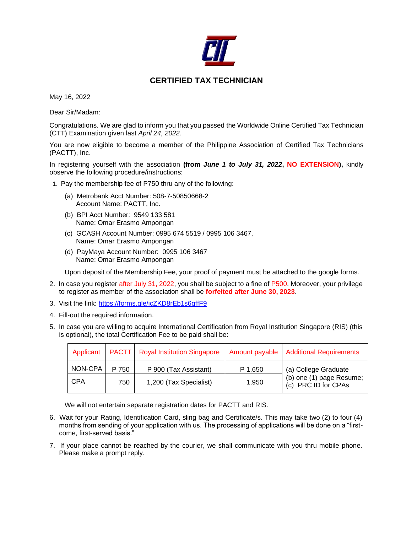

## **CERTIFIED TAX TECHNICIAN**

May 16, 2022

Dear Sir/Madam:

Congratulations. We are glad to inform you that you passed the Worldwide Online Certified Tax Technician (CTT) Examination given last *April 24, 2022*.

You are now eligible to become a member of the Philippine Association of Certified Tax Technicians (PACTT), Inc.

In registering yourself with the association **(from** *June 1 to July 31, 2022***, NO EXTENSION),** kindly observe the following procedure/instructions:

1. Pay the membership fee of P750 thru any of the following:

- (a) Metrobank Acct Number: 508-7-50850668-2 Account Name: PACTT, Inc.
- (b) BPI Acct Number: 9549 133 581 Name: Omar Erasmo Ampongan
- (c) GCASH Account Number: 0995 674 5519 / 0995 106 3467, Name: Omar Erasmo Ampongan
- (d) PayMaya Account Number: 0995 106 3467 Name: Omar Erasmo Ampongan

Upon deposit of the Membership Fee, your proof of payment must be attached to the google forms.

- 2. In case you register after July 31, 2022, you shall be subject to a fine of P500. Moreover, your privilege to register as member of the association shall be **forfeited after June 30, 2023**.
- 3. Visit the link:<https://forms.gle/icZKD8rEb1s6gffF9>
- 4. Fill-out the required information.
- 5. In case you are willing to acquire International Certification from Royal Institution Singapore (RIS) (this is optional), the total Certification Fee to be paid shall be:

| Applicant  |       | <b>PACTT</b>   Royal Institution Singapore | Amount payable | <b>Additional Requirements</b>                                          |
|------------|-------|--------------------------------------------|----------------|-------------------------------------------------------------------------|
| NON-CPA    | P 750 | P 900 (Tax Assistant)                      | P 1.650        | (a) College Graduate<br>(b) one (1) page Resume;<br>(c) PRC ID for CPAs |
| <b>CPA</b> | 750   | 1,200 (Tax Specialist)                     | 1.950          |                                                                         |

We will not entertain separate registration dates for PACTT and RIS.

- 6. Wait for your Rating, Identification Card, sling bag and Certificate/s. This may take two (2) to four (4) months from sending of your application with us. The processing of applications will be done on a "firstcome, first-served basis."
- 7. If your place cannot be reached by the courier, we shall communicate with you thru mobile phone. Please make a prompt reply.